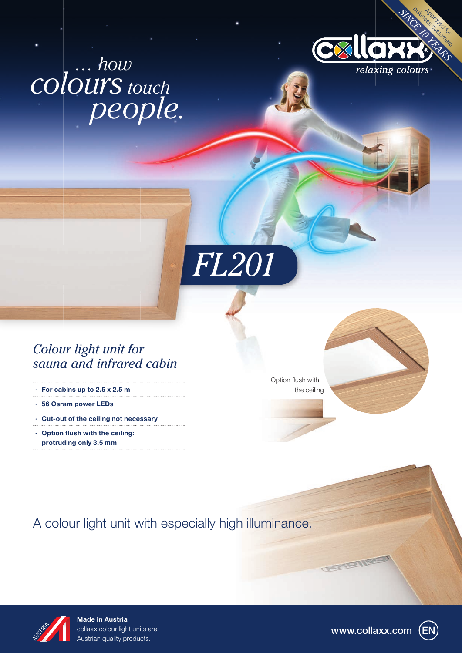# *colours touch people. … how*





# *Colour light unit for sauna and infrared cabin*

- · For cabins up to 2.5 x 2.5 m
- · 56 Osram power LEDs
- · Cut-out of the ceiling not necessary
- $\cdot$  Option flush with the ceiling: protruding only 3.5 mm

Option flush with the ceiling



A colour light unit with especially high illuminance.



Made in Austria collaxx colour light units are Austrian quality products.

www.collaxx.com

**CAMERIES**